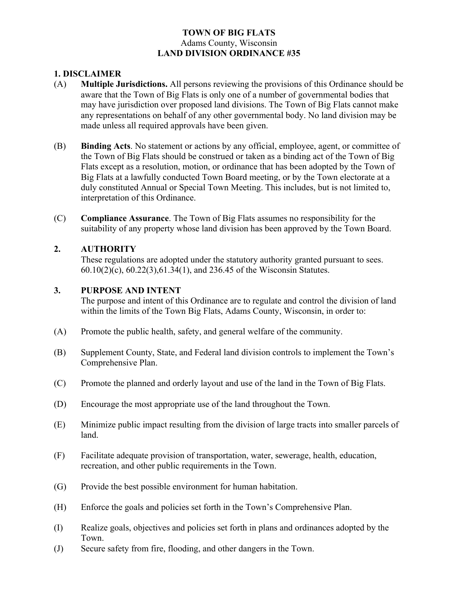#### **TOWN OF BIG FLATS** Adams County, Wisconsin **LAND DIVISION ORDINANCE #35**

## **1. DISCLAIMER**

- (A) **Multiple Jurisdictions.** All persons reviewing the provisions of this Ordinance should be aware that the Town of Big Flats is only one of a number of governmental bodies that may have jurisdiction over proposed land divisions. The Town of Big Flats cannot make any representations on behalf of any other governmental body. No land division may be made unless all required approvals have been given.
- (B) **Binding Acts**. No statement or actions by any official, employee, agent, or committee of the Town of Big Flats should be construed or taken as a binding act of the Town of Big Flats except as a resolution, motion, or ordinance that has been adopted by the Town of Big Flats at a lawfully conducted Town Board meeting, or by the Town electorate at a duly constituted Annual or Special Town Meeting. This includes, but is not limited to, interpretation of this Ordinance.
- (C) **Compliance Assurance**. The Town of Big Flats assumes no responsibility for the suitability of any property whose land division has been approved by the Town Board.

### **2. AUTHORITY**

These regulations are adopted under the statutory authority granted pursuant to sees. 60.10(2)(c), 60.22(3),61.34(1), and 236.45 of the Wisconsin Statutes.

#### **3. PURPOSE AND INTENT**

The purpose and intent of this Ordinance are to regulate and control the division of land within the limits of the Town Big Flats, Adams County, Wisconsin, in order to:

- (A) Promote the public health, safety, and general welfare of the community.
- (B) Supplement County, State, and Federal land division controls to implement the Town's Comprehensive Plan.
- (C) Promote the planned and orderly layout and use of the land in the Town of Big Flats.
- (D) Encourage the most appropriate use of the land throughout the Town.
- (E) Minimize public impact resulting from the division of large tracts into smaller parcels of land.
- (F) Facilitate adequate provision of transportation, water, sewerage, health, education, recreation, and other public requirements in the Town.
- (G) Provide the best possible environment for human habitation.
- (H) Enforce the goals and policies set forth in the Town's Comprehensive Plan.
- (I) Realize goals, objectives and policies set forth in plans and ordinances adopted by the Town.
- (J) Secure safety from fire, flooding, and other dangers in the Town.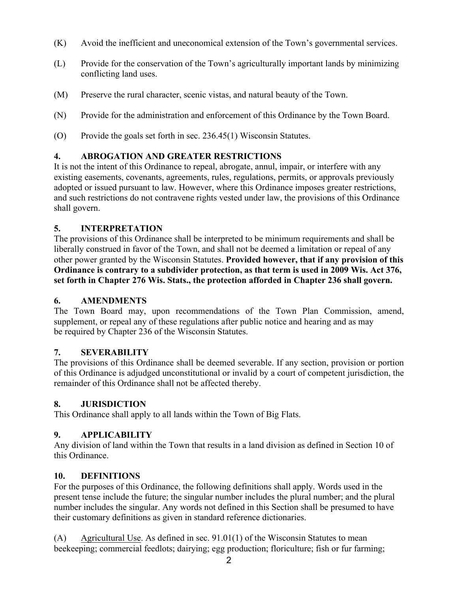- (K) Avoid the inefficient and uneconomical extension of the Town's governmental services.
- (L) Provide for the conservation of the Town's agriculturally important lands by minimizing conflicting land uses.
- (M) Preserve the rural character, scenic vistas, and natural beauty of the Town.
- (N) Provide for the administration and enforcement of this Ordinance by the Town Board.
- (O) Provide the goals set forth in sec. 236.45(1) Wisconsin Statutes.

# **4. ABROGATION AND GREATER RESTRICTIONS**

It is not the intent of this Ordinance to repeal, abrogate, annul, impair, or interfere with any existing easements, covenants, agreements, rules, regulations, permits, or approvals previously adopted or issued pursuant to law. However, where this Ordinance imposes greater restrictions, and such restrictions do not contravene rights vested under law, the provisions of this Ordinance shall govern.

### **5. INTERPRETATION**

The provisions of this Ordinance shall be interpreted to be minimum requirements and shall be liberally construed in favor of the Town, and shall not be deemed a limitation or repeal of any other power granted by the Wisconsin Statutes. **Provided however, that if any provision of this Ordinance is contrary to a subdivider protection, as that term is used in 2009 Wis. Act 376, set forth in Chapter 276 Wis. Stats., the protection afforded in Chapter 236 shall govern.**

### **6. AMENDMENTS**

The Town Board may, upon recommendations of the Town Plan Commission, amend, supplement, or repeal any of these regulations after public notice and hearing and as may be required by Chapter 236 of the Wisconsin Statutes.

### **7. SEVERABILITY**

The provisions of this Ordinance shall be deemed severable. If any section, provision or portion of this Ordinance is adjudged unconstitutional or invalid by a court of competent jurisdiction, the remainder of this Ordinance shall not be affected thereby.

### **8. JURISDICTION**

This Ordinance shall apply to all lands within the Town of Big Flats.

### **9. APPLICABILITY**

Any division of land within the Town that results in a land division as defined in Section 10 of this Ordinance.

### **10. DEFINITIONS**

For the purposes of this Ordinance, the following definitions shall apply. Words used in the present tense include the future; the singular number includes the plural number; and the plural number includes the singular. Any words not defined in this Section shall be presumed to have their customary definitions as given in standard reference dictionaries.

(A) Agricultural Use. As defined in sec. 91.01(1) of the Wisconsin Statutes to mean beekeeping; commercial feedlots; dairying; egg production; floriculture; fish or fur farming;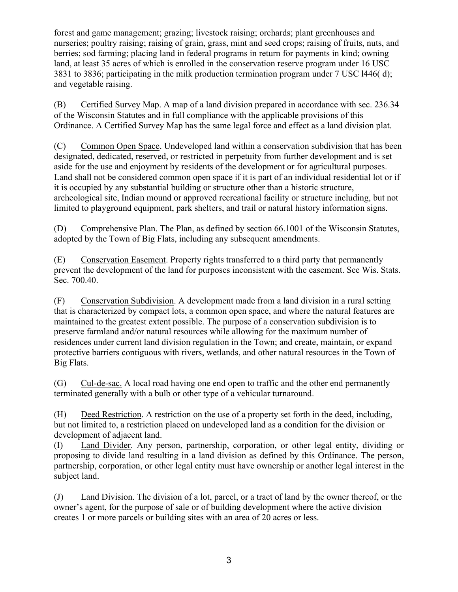forest and game management; grazing; livestock raising; orchards; plant greenhouses and nurseries; poultry raising; raising of grain, grass, mint and seed crops; raising of fruits, nuts, and berries; sod farming; placing land in federal programs in return for payments in kind; owning land, at least 35 acres of which is enrolled in the conservation reserve program under 16 USC 3831 to 3836; participating in the milk production termination program under 7 USC l446( d); and vegetable raising.

(B) Certified Survey Map. A map of a land division prepared in accordance with sec. 236.34 of the Wisconsin Statutes and in full compliance with the applicable provisions of this Ordinance. A Certified Survey Map has the same legal force and effect as a land division plat.

(C) Common Open Space. Undeveloped land within a conservation subdivision that has been designated, dedicated, reserved, or restricted in perpetuity from further development and is set aside for the use and enjoyment by residents of the development or for agricultural purposes. Land shall not be considered common open space if it is part of an individual residential lot or if it is occupied by any substantial building or structure other than a historic structure, archeological site, Indian mound or approved recreational facility or structure including, but not limited to playground equipment, park shelters, and trail or natural history information signs.

(D) Comprehensive Plan. The Plan, as defined by section 66.1001 of the Wisconsin Statutes, adopted by the Town of Big Flats, including any subsequent amendments.

(E) Conservation Easement. Property rights transferred to a third party that permanently prevent the development of the land for purposes inconsistent with the easement. See Wis. Stats. Sec. 700.40.

(F) Conservation Subdivision. A development made from a land division in a rural setting that is characterized by compact lots, a common open space, and where the natural features are maintained to the greatest extent possible. The purpose of a conservation subdivision is to preserve farmland and/or natural resources while allowing for the maximum number of residences under current land division regulation in the Town; and create, maintain, or expand protective barriers contiguous with rivers, wetlands, and other natural resources in the Town of Big Flats.

(G) Cul-de-sac. A local road having one end open to traffic and the other end permanently terminated generally with a bulb or other type of a vehicular turnaround.

(H) Deed Restriction. A restriction on the use of a property set forth in the deed, including, but not limited to, a restriction placed on undeveloped land as a condition for the division or development of adjacent land.

(I) Land Divider. Any person, partnership, corporation, or other legal entity, dividing or proposing to divide land resulting in a land division as defined by this Ordinance. The person, partnership, corporation, or other legal entity must have ownership or another legal interest in the subject land.

(J) Land Division. The division of a lot, parcel, or a tract of land by the owner thereof, or the owner's agent, for the purpose of sale or of building development where the active division creates 1 or more parcels or building sites with an area of 20 acres or less.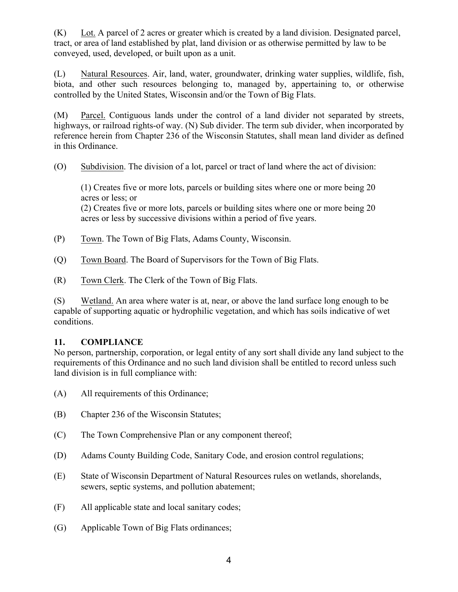(K) Lot. A parcel of 2 acres or greater which is created by a land division. Designated parcel, tract, or area of land established by plat, land division or as otherwise permitted by law to be conveyed, used, developed, or built upon as a unit.

(L) Natural Resources. Air, land, water, groundwater, drinking water supplies, wildlife, fish, biota, and other such resources belonging to, managed by, appertaining to, or otherwise controlled by the United States, Wisconsin and/or the Town of Big Flats.

(M) Parcel. Contiguous lands under the control of a land divider not separated by streets, highways, or railroad rights-of way. (N) Sub divider. The term sub divider, when incorporated by reference herein from Chapter 236 of the Wisconsin Statutes, shall mean land divider as defined in this Ordinance.

(O) Subdivision. The division of a lot, parcel or tract of land where the act of division:

(1) Creates five or more lots, parcels or building sites where one or more being 20 acres or less; or (2) Creates five or more lots, parcels or building sites where one or more being 20 acres or less by successive divisions within a period of five years.

- (P) Town. The Town of Big Flats, Adams County, Wisconsin.
- (Q) Town Board. The Board of Supervisors for the Town of Big Flats.
- (R) Town Clerk. The Clerk of the Town of Big Flats.

(S) Wetland. An area where water is at, near, or above the land surface long enough to be capable of supporting aquatic or hydrophilic vegetation, and which has soils indicative of wet conditions.

### **11. COMPLIANCE**

No person, partnership, corporation, or legal entity of any sort shall divide any land subject to the requirements of this Ordinance and no such land division shall be entitled to record unless such land division is in full compliance with:

- (A) All requirements of this Ordinance;
- (B) Chapter 236 of the Wisconsin Statutes;
- (C) The Town Comprehensive Plan or any component thereof;
- (D) Adams County Building Code, Sanitary Code, and erosion control regulations;
- (E) State of Wisconsin Department of Natural Resources rules on wetlands, shorelands, sewers, septic systems, and pollution abatement;
- (F) All applicable state and local sanitary codes;
- (G) Applicable Town of Big Flats ordinances;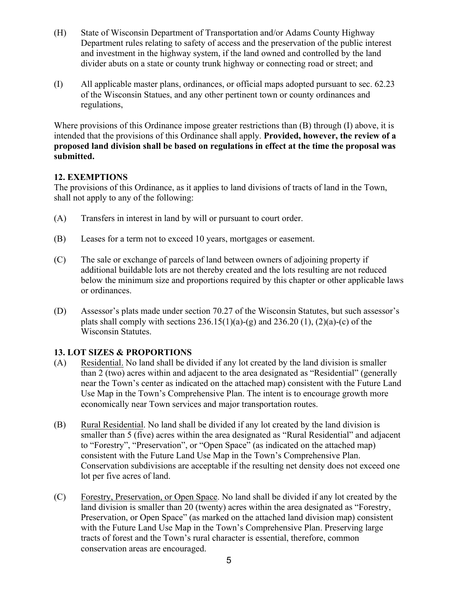- (H) State of Wisconsin Department of Transportation and/or Adams County Highway Department rules relating to safety of access and the preservation of the public interest and investment in the highway system, if the land owned and controlled by the land divider abuts on a state or county trunk highway or connecting road or street; and
- (I) All applicable master plans, ordinances, or official maps adopted pursuant to sec. 62.23 of the Wisconsin Statues, and any other pertinent town or county ordinances and regulations,

Where provisions of this Ordinance impose greater restrictions than (B) through (I) above, it is intended that the provisions of this Ordinance shall apply. **Provided, however, the review of a proposed land division shall be based on regulations in effect at the time the proposal was submitted.**

## **12. EXEMPTIONS**

The provisions of this Ordinance, as it applies to land divisions of tracts of land in the Town, shall not apply to any of the following:

- (A) Transfers in interest in land by will or pursuant to court order.
- (B) Leases for a term not to exceed 10 years, mortgages or easement.
- (C) The sale or exchange of parcels of land between owners of adjoining property if additional buildable lots are not thereby created and the lots resulting are not reduced below the minimum size and proportions required by this chapter or other applicable laws or ordinances.
- (D) Assessor's plats made under section 70.27 of the Wisconsin Statutes, but such assessor's plats shall comply with sections  $236.15(1)(a)-(g)$  and  $236.20(1)$ ,  $(2)(a)-(c)$  of the Wisconsin Statutes.

# **13. LOT SIZES & PROPORTIONS**

- (A) Residential. No land shall be divided if any lot created by the land division is smaller than 2 (two) acres within and adjacent to the area designated as "Residential" (generally near the Town's center as indicated on the attached map) consistent with the Future Land Use Map in the Town's Comprehensive Plan. The intent is to encourage growth more economically near Town services and major transportation routes.
- (B) Rural Residential. No land shall be divided if any lot created by the land division is smaller than 5 (five) acres within the area designated as "Rural Residential" and adjacent to "Forestry", "Preservation", or "Open Space" (as indicated on the attached map) consistent with the Future Land Use Map in the Town's Comprehensive Plan. Conservation subdivisions are acceptable if the resulting net density does not exceed one lot per five acres of land.
- (C) Forestry, Preservation, or Open Space. No land shall be divided if any lot created by the land division is smaller than 20 (twenty) acres within the area designated as "Forestry, Preservation, or Open Space" (as marked on the attached land division map) consistent with the Future Land Use Map in the Town's Comprehensive Plan. Preserving large tracts of forest and the Town's rural character is essential, therefore, common conservation areas are encouraged.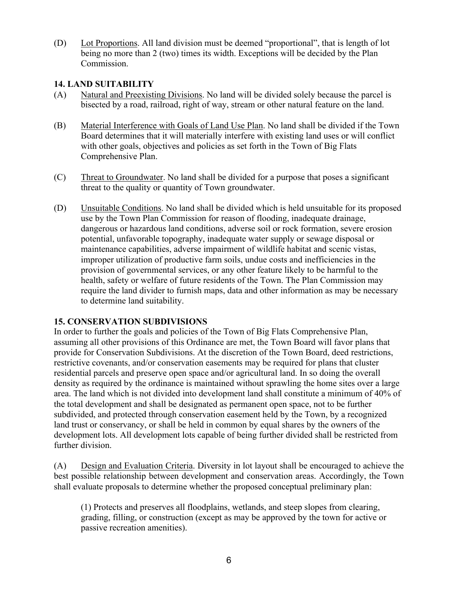(D) Lot Proportions. All land division must be deemed "proportional", that is length of lot being no more than 2 (two) times its width. Exceptions will be decided by the Plan Commission.

## **14. LAND SUITABILITY**

- (A) Natural and Preexisting Divisions. No land will be divided solely because the parcel is bisected by a road, railroad, right of way, stream or other natural feature on the land.
- (B) Material Interference with Goals of Land Use Plan. No land shall be divided if the Town Board determines that it will materially interfere with existing land uses or will conflict with other goals, objectives and policies as set forth in the Town of Big Flats Comprehensive Plan.
- (C) Threat to Groundwater. No land shall be divided for a purpose that poses a significant threat to the quality or quantity of Town groundwater.
- (D) Unsuitable Conditions. No land shall be divided which is held unsuitable for its proposed use by the Town Plan Commission for reason of flooding, inadequate drainage, dangerous or hazardous land conditions, adverse soil or rock formation, severe erosion potential, unfavorable topography, inadequate water supply or sewage disposal or maintenance capabilities, adverse impairment of wildlife habitat and scenic vistas, improper utilization of productive farm soils, undue costs and inefficiencies in the provision of governmental services, or any other feature likely to be harmful to the health, safety or welfare of future residents of the Town. The Plan Commission may require the land divider to furnish maps, data and other information as may be necessary to determine land suitability.

### **15. CONSERVATION SUBDIVISIONS**

In order to further the goals and policies of the Town of Big Flats Comprehensive Plan, assuming all other provisions of this Ordinance are met, the Town Board will favor plans that provide for Conservation Subdivisions. At the discretion of the Town Board, deed restrictions, restrictive covenants, and/or conservation easements may be required for plans that cluster residential parcels and preserve open space and/or agricultural land. In so doing the overall density as required by the ordinance is maintained without sprawling the home sites over a large area. The land which is not divided into development land shall constitute a minimum of 40% of the total development and shall be designated as permanent open space, not to be further subdivided, and protected through conservation easement held by the Town, by a recognized land trust or conservancy, or shall be held in common by equal shares by the owners of the development lots. All development lots capable of being further divided shall be restricted from further division.

(A) Design and Evaluation Criteria. Diversity in lot layout shall be encouraged to achieve the best possible relationship between development and conservation areas. Accordingly, the Town shall evaluate proposals to determine whether the proposed conceptual preliminary plan:

(1) Protects and preserves all floodplains, wetlands, and steep slopes from clearing, grading, filling, or construction (except as may be approved by the town for active or passive recreation amenities).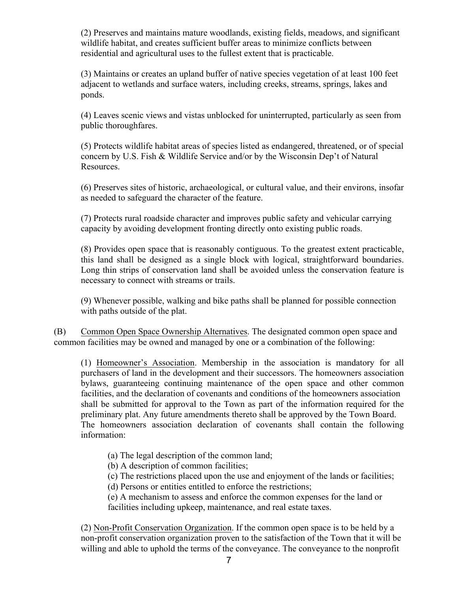(2) Preserves and maintains mature woodlands, existing fields, meadows, and significant wildlife habitat, and creates sufficient buffer areas to minimize conflicts between residential and agricultural uses to the fullest extent that is practicable.

(3) Maintains or creates an upland buffer of native species vegetation of at least 100 feet adjacent to wetlands and surface waters, including creeks, streams, springs, lakes and ponds.

(4) Leaves scenic views and vistas unblocked for uninterrupted, particularly as seen from public thoroughfares.

(5) Protects wildlife habitat areas of species listed as endangered, threatened, or of special concern by U.S. Fish & Wildlife Service and/or by the Wisconsin Dep't of Natural Resources.

(6) Preserves sites of historic, archaeological, or cultural value, and their environs, insofar as needed to safeguard the character of the feature.

(7) Protects rural roadside character and improves public safety and vehicular carrying capacity by avoiding development fronting directly onto existing public roads.

(8) Provides open space that is reasonably contiguous. To the greatest extent practicable, this land shall be designed as a single block with logical, straightforward boundaries. Long thin strips of conservation land shall be avoided unless the conservation feature is necessary to connect with streams or trails.

(9) Whenever possible, walking and bike paths shall be planned for possible connection with paths outside of the plat.

(B) Common Open Space Ownership Alternatives. The designated common open space and common facilities may be owned and managed by one or a combination of the following:

(1) Homeowner's Association. Membership in the association is mandatory for all purchasers of land in the development and their successors. The homeowners association bylaws, guaranteeing continuing maintenance of the open space and other common facilities, and the declaration of covenants and conditions of the homeowners association shall be submitted for approval to the Town as part of the information required for the preliminary plat. Any future amendments thereto shall be approved by the Town Board. The homeowners association declaration of covenants shall contain the following information:

(a) The legal description of the common land;

(b) A description of common facilities;

(c) The restrictions placed upon the use and enjoyment of the lands or facilities;

(d) Persons or entities entitled to enforce the restrictions;

(e) A mechanism to assess and enforce the common expenses for the land or facilities including upkeep, maintenance, and real estate taxes.

(2) Non-Profit Conservation Organization. If the common open space is to be held by a non-profit conservation organization proven to the satisfaction of the Town that it will be willing and able to uphold the terms of the conveyance. The conveyance to the nonprofit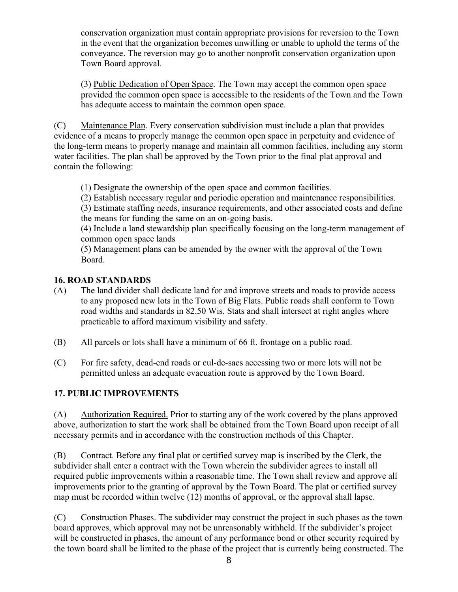conservation organization must contain appropriate provisions for reversion to the Town in the event that the organization becomes unwilling or unable to uphold the terms of the conveyance. The reversion may go to another nonprofit conservation organization upon Town Board approval.

(3) Public Dedication of Open Space. The Town may accept the common open space provided the common open space is accessible to the residents of the Town and the Town has adequate access to maintain the common open space.

(C) Maintenance Plan. Every conservation subdivision must include a plan that provides evidence of a means to properly manage the common open space in perpetuity and evidence of the long-term means to properly manage and maintain all common facilities, including any storm water facilities. The plan shall be approved by the Town prior to the final plat approval and contain the following:

(1) Designate the ownership of the open space and common facilities.

(2) Establish necessary regular and periodic operation and maintenance responsibilities.

(3) Estimate staffing needs, insurance requirements, and other associated costs and define the means for funding the same on an on-going basis.

(4) Include a land stewardship plan specifically focusing on the long-term management of common open space lands

(5) Management plans can be amended by the owner with the approval of the Town Board.

# **16. ROAD STANDARDS**

- (A) The land divider shall dedicate land for and improve streets and roads to provide access to any proposed new lots in the Town of Big Flats. Public roads shall conform to Town road widths and standards in 82.50 Wis. Stats and shall intersect at right angles where practicable to afford maximum visibility and safety.
- (B) All parcels or lots shall have a minimum of 66 ft. frontage on a public road.
- (C) For fire safety, dead-end roads or cul-de-sacs accessing two or more lots will not be permitted unless an adequate evacuation route is approved by the Town Board.

# **17. PUBLIC IMPROVEMENTS**

(A) Authorization Required. Prior to starting any of the work covered by the plans approved above, authorization to start the work shall be obtained from the Town Board upon receipt of all necessary permits and in accordance with the construction methods of this Chapter.

(B) Contract. Before any final plat or certified survey map is inscribed by the Clerk, the subdivider shall enter a contract with the Town wherein the subdivider agrees to install all required public improvements within a reasonable time. The Town shall review and approve all improvements prior to the granting of approval by the Town Board. The plat or certified survey map must be recorded within twelve (12) months of approval, or the approval shall lapse.

(C) Construction Phases. The subdivider may construct the project in such phases as the town board approves, which approval may not be unreasonably withheld. If the subdivider's project will be constructed in phases, the amount of any performance bond or other security required by the town board shall be limited to the phase of the project that is currently being constructed. The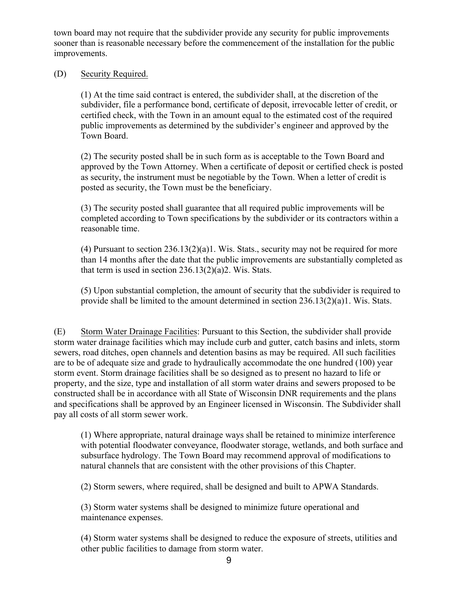town board may not require that the subdivider provide any security for public improvements sooner than is reasonable necessary before the commencement of the installation for the public improvements.

#### (D) Security Required.

(1) At the time said contract is entered, the subdivider shall, at the discretion of the subdivider, file a performance bond, certificate of deposit, irrevocable letter of credit, or certified check, with the Town in an amount equal to the estimated cost of the required public improvements as determined by the subdivider's engineer and approved by the Town Board.

(2) The security posted shall be in such form as is acceptable to the Town Board and approved by the Town Attorney. When a certificate of deposit or certified check is posted as security, the instrument must be negotiable by the Town. When a letter of credit is posted as security, the Town must be the beneficiary.

(3) The security posted shall guarantee that all required public improvements will be completed according to Town specifications by the subdivider or its contractors within a reasonable time.

(4) Pursuant to section  $236.13(2)(a)1$ . Wis. Stats., security may not be required for more than 14 months after the date that the public improvements are substantially completed as that term is used in section  $236.13(2)(a)2$ . Wis. Stats.

(5) Upon substantial completion, the amount of security that the subdivider is required to provide shall be limited to the amount determined in section 236.13(2)(a)1. Wis. Stats.

(E) Storm Water Drainage Facilities: Pursuant to this Section, the subdivider shall provide storm water drainage facilities which may include curb and gutter, catch basins and inlets, storm sewers, road ditches, open channels and detention basins as may be required. All such facilities are to be of adequate size and grade to hydraulically accommodate the one hundred (100) year storm event. Storm drainage facilities shall be so designed as to present no hazard to life or property, and the size, type and installation of all storm water drains and sewers proposed to be constructed shall be in accordance with all State of Wisconsin DNR requirements and the plans and specifications shall be approved by an Engineer licensed in Wisconsin. The Subdivider shall pay all costs of all storm sewer work.

(1) Where appropriate, natural drainage ways shall be retained to minimize interference with potential floodwater conveyance, floodwater storage, wetlands, and both surface and subsurface hydrology. The Town Board may recommend approval of modifications to natural channels that are consistent with the other provisions of this Chapter.

(2) Storm sewers, where required, shall be designed and built to APWA Standards.

(3) Storm water systems shall be designed to minimize future operational and maintenance expenses.

(4) Storm water systems shall be designed to reduce the exposure of streets, utilities and other public facilities to damage from storm water.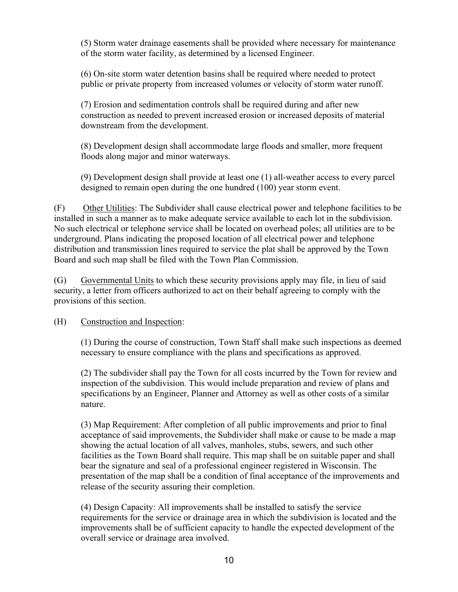(5) Storm water drainage easements shall be provided where necessary for maintenance of the storm water facility, as determined by a licensed Engineer.

(6) On-site storm water detention basins shall be required where needed to protect public or private property from increased volumes or velocity of storm water runoff.

(7) Erosion and sedimentation controls shall be required during and after new construction as needed to prevent increased erosion or increased deposits of material downstream from the development.

(8) Development design shall accommodate large floods and smaller, more frequent floods along major and minor waterways.

(9) Development design shall provide at least one (1) all-weather access to every parcel designed to remain open during the one hundred (100) year storm event.

(F) Other Utilities: The Subdivider shall cause electrical power and telephone facilities to be installed in such a manner as to make adequate service available to each lot in the subdivision. No such electrical or telephone service shall be located on overhead poles; all utilities are to be underground. Plans indicating the proposed location of all electrical power and telephone distribution and transmission lines required to service the plat shall be approved by the Town Board and such map shall be filed with the Town Plan Commission.

(G) Governmental Units to which these security provisions apply may file, in lieu of said security, a letter from officers authorized to act on their behalf agreeing to comply with the provisions of this section.

(H) Construction and Inspection:

(1) During the course of construction, Town Staff shall make such inspections as deemed necessary to ensure compliance with the plans and specifications as approved.

(2) The subdivider shall pay the Town for all costs incurred by the Town for review and inspection of the subdivision. This would include preparation and review of plans and specifications by an Engineer, Planner and Attorney as well as other costs of a similar nature.

(3) Map Requirement: After completion of all public improvements and prior to final acceptance of said improvements, the Subdivider shall make or cause to be made a map showing the actual location of all valves, manholes, stubs, sewers, and such other facilities as the Town Board shall require. This map shall be on suitable paper and shall bear the signature and seal of a professional engineer registered in Wisconsin. The presentation of the map shall be a condition of final acceptance of the improvements and release of the security assuring their completion.

(4) Design Capacity: All improvements shall be installed to satisfy the service requirements for the service or drainage area in which the subdivision is located and the improvements shall be of sufficient capacity to handle the expected development of the overall service or drainage area involved.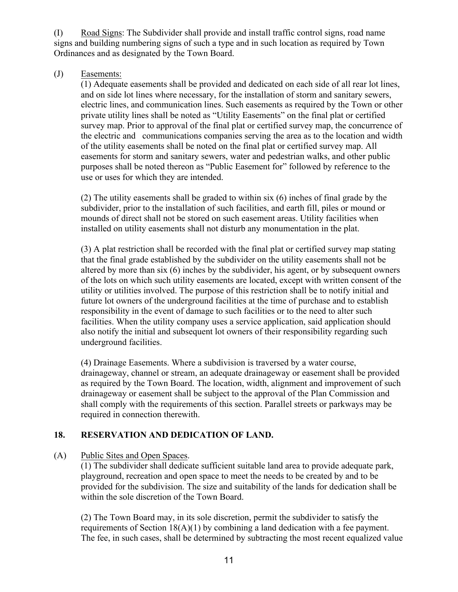(I) Road Signs: The Subdivider shall provide and install traffic control signs, road name signs and building numbering signs of such a type and in such location as required by Town Ordinances and as designated by the Town Board.

## (J) Easements:

(1) Adequate easements shall be provided and dedicated on each side of all rear lot lines, and on side lot lines where necessary, for the installation of storm and sanitary sewers, electric lines, and communication lines. Such easements as required by the Town or other private utility lines shall be noted as "Utility Easements" on the final plat or certified survey map. Prior to approval of the final plat or certified survey map, the concurrence of the electric and communications companies serving the area as to the location and width of the utility easements shall be noted on the final plat or certified survey map. All easements for storm and sanitary sewers, water and pedestrian walks, and other public purposes shall be noted thereon as "Public Easement for" followed by reference to the use or uses for which they are intended.

(2) The utility easements shall be graded to within six (6) inches of final grade by the subdivider, prior to the installation of such facilities, and earth fill, piles or mound or mounds of direct shall not be stored on such easement areas. Utility facilities when installed on utility easements shall not disturb any monumentation in the plat.

(3) A plat restriction shall be recorded with the final plat or certified survey map stating that the final grade established by the subdivider on the utility easements shall not be altered by more than six (6) inches by the subdivider, his agent, or by subsequent owners of the lots on which such utility easements are located, except with written consent of the utility or utilities involved. The purpose of this restriction shall be to notify initial and future lot owners of the underground facilities at the time of purchase and to establish responsibility in the event of damage to such facilities or to the need to alter such facilities. When the utility company uses a service application, said application should also notify the initial and subsequent lot owners of their responsibility regarding such underground facilities.

(4) Drainage Easements. Where a subdivision is traversed by a water course, drainageway, channel or stream, an adequate drainageway or easement shall be provided as required by the Town Board. The location, width, alignment and improvement of such drainageway or easement shall be subject to the approval of the Plan Commission and shall comply with the requirements of this section. Parallel streets or parkways may be required in connection therewith.

# **18. RESERVATION AND DEDICATION OF LAND.**

(A) Public Sites and Open Spaces.

(1) The subdivider shall dedicate sufficient suitable land area to provide adequate park, playground, recreation and open space to meet the needs to be created by and to be provided for the subdivision. The size and suitability of the lands for dedication shall be within the sole discretion of the Town Board.

(2) The Town Board may, in its sole discretion, permit the subdivider to satisfy the requirements of Section 18(A)(1) by combining a land dedication with a fee payment. The fee, in such cases, shall be determined by subtracting the most recent equalized value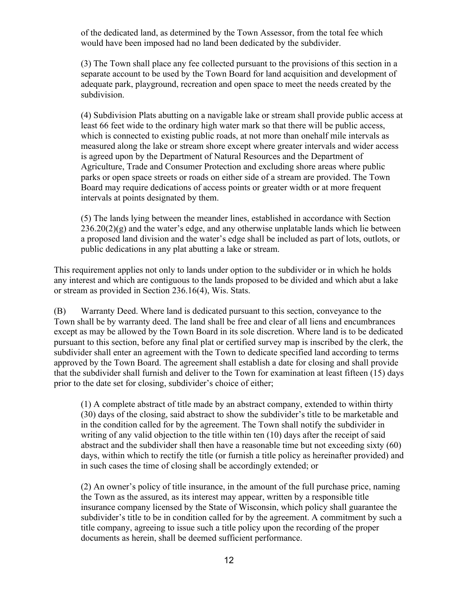of the dedicated land, as determined by the Town Assessor, from the total fee which would have been imposed had no land been dedicated by the subdivider.

(3) The Town shall place any fee collected pursuant to the provisions of this section in a separate account to be used by the Town Board for land acquisition and development of adequate park, playground, recreation and open space to meet the needs created by the subdivision.

(4) Subdivision Plats abutting on a navigable lake or stream shall provide public access at least 66 feet wide to the ordinary high water mark so that there will be public access, which is connected to existing public roads, at not more than one half mile intervals as measured along the lake or stream shore except where greater intervals and wider access is agreed upon by the Department of Natural Resources and the Department of Agriculture, Trade and Consumer Protection and excluding shore areas where public parks or open space streets or roads on either side of a stream are provided. The Town Board may require dedications of access points or greater width or at more frequent intervals at points designated by them.

(5) The lands lying between the meander lines, established in accordance with Section  $236.20(2)(g)$  and the water's edge, and any otherwise unplatable lands which lie between a proposed land division and the water's edge shall be included as part of lots, outlots, or public dedications in any plat abutting a lake or stream.

This requirement applies not only to lands under option to the subdivider or in which he holds any interest and which are contiguous to the lands proposed to be divided and which abut a lake or stream as provided in Section 236.16(4), Wis. Stats.

(B) Warranty Deed. Where land is dedicated pursuant to this section, conveyance to the Town shall be by warranty deed. The land shall be free and clear of all liens and encumbrances except as may be allowed by the Town Board in its sole discretion. Where land is to be dedicated pursuant to this section, before any final plat or certified survey map is inscribed by the clerk, the subdivider shall enter an agreement with the Town to dedicate specified land according to terms approved by the Town Board. The agreement shall establish a date for closing and shall provide that the subdivider shall furnish and deliver to the Town for examination at least fifteen (15) days prior to the date set for closing, subdivider's choice of either;

(1) A complete abstract of title made by an abstract company, extended to within thirty (30) days of the closing, said abstract to show the subdivider's title to be marketable and in the condition called for by the agreement. The Town shall notify the subdivider in writing of any valid objection to the title within ten (10) days after the receipt of said abstract and the subdivider shall then have a reasonable time but not exceeding sixty (60) days, within which to rectify the title (or furnish a title policy as hereinafter provided) and in such cases the time of closing shall be accordingly extended; or

(2) An owner's policy of title insurance, in the amount of the full purchase price, naming the Town as the assured, as its interest may appear, written by a responsible title insurance company licensed by the State of Wisconsin, which policy shall guarantee the subdivider's title to be in condition called for by the agreement. A commitment by such a title company, agreeing to issue such a title policy upon the recording of the proper documents as herein, shall be deemed sufficient performance.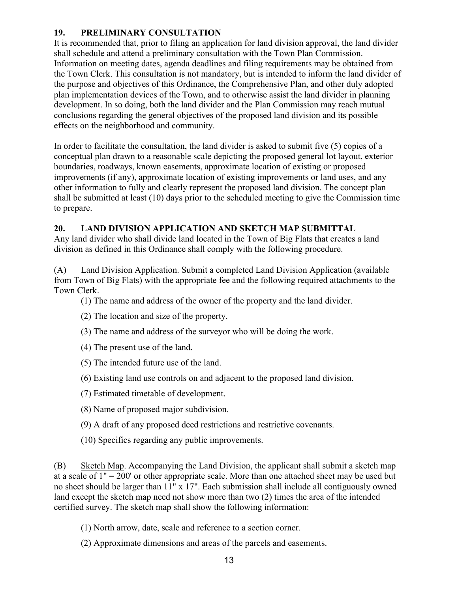# **19. PRELIMINARY CONSULTATION**

It is recommended that, prior to filing an application for land division approval, the land divider shall schedule and attend a preliminary consultation with the Town Plan Commission. Information on meeting dates, agenda deadlines and filing requirements may be obtained from the Town Clerk. This consultation is not mandatory, but is intended to inform the land divider of the purpose and objectives of this Ordinance, the Comprehensive Plan, and other duly adopted plan implementation devices of the Town, and to otherwise assist the land divider in planning development. In so doing, both the land divider and the Plan Commission may reach mutual conclusions regarding the general objectives of the proposed land division and its possible effects on the neighborhood and community.

In order to facilitate the consultation, the land divider is asked to submit five (5) copies of a conceptual plan drawn to a reasonable scale depicting the proposed general lot layout, exterior boundaries, roadways, known easements, approximate location of existing or proposed improvements (if any), approximate location of existing improvements or land uses, and any other information to fully and clearly represent the proposed land division. The concept plan shall be submitted at least (10) days prior to the scheduled meeting to give the Commission time to prepare.

# **20. LAND DIVISION APPLICATION AND SKETCH MAP SUBMITTAL**

Any land divider who shall divide land located in the Town of Big Flats that creates a land division as defined in this Ordinance shall comply with the following procedure.

(A) Land Division Application. Submit a completed Land Division Application (available from Town of Big Flats) with the appropriate fee and the following required attachments to the Town Clerk.

(1) The name and address of the owner of the property and the land divider.

- (2) The location and size of the property.
- (3) The name and address of the surveyor who will be doing the work.
- (4) The present use of the land.
- (5) The intended future use of the land.
- (6) Existing land use controls on and adjacent to the proposed land division.
- (7) Estimated timetable of development.
- (8) Name of proposed major subdivision.
- (9) A draft of any proposed deed restrictions and restrictive covenants.
- (10) Specifics regarding any public improvements.

(B) Sketch Map. Accompanying the Land Division, the applicant shall submit a sketch map at a scale of 1" = 200' or other appropriate scale. More than one attached sheet may be used but no sheet should be larger than 11" x 17". Each submission shall include all contiguously owned land except the sketch map need not show more than two (2) times the area of the intended certified survey. The sketch map shall show the following information:

- (1) North arrow, date, scale and reference to a section corner.
- (2) Approximate dimensions and areas of the parcels and easements.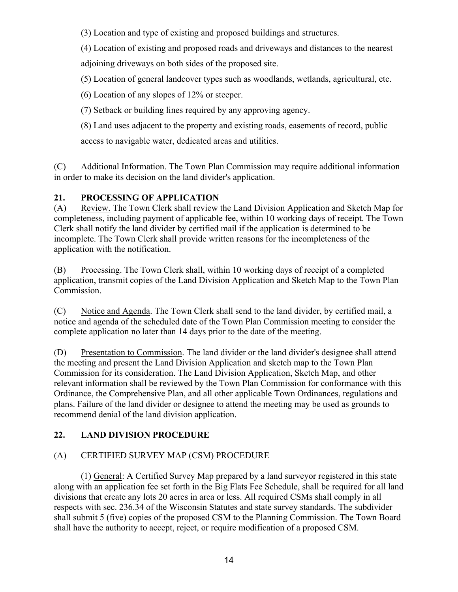(3) Location and type of existing and proposed buildings and structures.

(4) Location of existing and proposed roads and driveways and distances to the nearest adjoining driveways on both sides of the proposed site.

(5) Location of general landcover types such as woodlands, wetlands, agricultural, etc.

(6) Location of any slopes of 12% or steeper.

(7) Setback or building lines required by any approving agency.

(8) Land uses adjacent to the property and existing roads, easements of record, public access to navigable water, dedicated areas and utilities.

(C) Additional Information. The Town Plan Commission may require additional information in order to make its decision on the land divider's application.

# **21. PROCESSING OF APPLICATION**

(A) Review. The Town Clerk shall review the Land Division Application and Sketch Map for completeness, including payment of applicable fee, within 10 working days of receipt. The Town Clerk shall notify the land divider by certified mail if the application is determined to be incomplete. The Town Clerk shall provide written reasons for the incompleteness of the application with the notification.

(B) Processing. The Town Clerk shall, within 10 working days of receipt of a completed application, transmit copies of the Land Division Application and Sketch Map to the Town Plan Commission.

(C) Notice and Agenda. The Town Clerk shall send to the land divider, by certified mail, a notice and agenda of the scheduled date of the Town Plan Commission meeting to consider the complete application no later than 14 days prior to the date of the meeting.

(D) Presentation to Commission. The land divider or the land divider's designee shall attend the meeting and present the Land Division Application and sketch map to the Town Plan Commission for its consideration. The Land Division Application, Sketch Map, and other relevant information shall be reviewed by the Town Plan Commission for conformance with this Ordinance, the Comprehensive Plan, and all other applicable Town Ordinances, regulations and plans. Failure of the land divider or designee to attend the meeting may be used as grounds to recommend denial of the land division application.

# **22. LAND DIVISION PROCEDURE**

# (A) CERTIFIED SURVEY MAP (CSM) PROCEDURE

(1) General: A Certified Survey Map prepared by a land surveyor registered in this state along with an application fee set forth in the Big Flats Fee Schedule, shall be required for all land divisions that create any lots 20 acres in area or less. All required CSMs shall comply in all respects with sec. 236.34 of the Wisconsin Statutes and state survey standards. The subdivider shall submit 5 (five) copies of the proposed CSM to the Planning Commission. The Town Board shall have the authority to accept, reject, or require modification of a proposed CSM.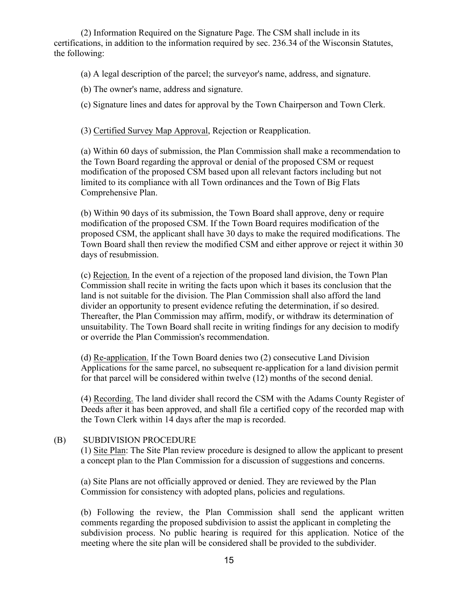(2) Information Required on the Signature Page. The CSM shall include in its certifications, in addition to the information required by sec. 236.34 of the Wisconsin Statutes, the following:

(a) A legal description of the parcel; the surveyor's name, address, and signature.

(b) The owner's name, address and signature.

(c) Signature lines and dates for approval by the Town Chairperson and Town Clerk.

(3) Certified Survey Map Approval, Rejection or Reapplication.

(a) Within 60 days of submission, the Plan Commission shall make a recommendation to the Town Board regarding the approval or denial of the proposed CSM or request modification of the proposed CSM based upon all relevant factors including but not limited to its compliance with all Town ordinances and the Town of Big Flats Comprehensive Plan.

(b) Within 90 days of its submission, the Town Board shall approve, deny or require modification of the proposed CSM. If the Town Board requires modification of the proposed CSM, the applicant shall have 30 days to make the required modifications. The Town Board shall then review the modified CSM and either approve or reject it within 30 days of resubmission.

(c) Rejection. In the event of a rejection of the proposed land division, the Town Plan Commission shall recite in writing the facts upon which it bases its conclusion that the land is not suitable for the division. The Plan Commission shall also afford the land divider an opportunity to present evidence refuting the determination, if so desired. Thereafter, the Plan Commission may affirm, modify, or withdraw its determination of unsuitability. The Town Board shall recite in writing findings for any decision to modify or override the Plan Commission's recommendation.

(d) Re-application. If the Town Board denies two (2) consecutive Land Division Applications for the same parcel, no subsequent re-application for a land division permit for that parcel will be considered within twelve (12) months of the second denial.

(4) Recording. The land divider shall record the CSM with the Adams County Register of Deeds after it has been approved, and shall file a certified copy of the recorded map with the Town Clerk within 14 days after the map is recorded.

### (B) SUBDIVISION PROCEDURE

(1) Site Plan: The Site Plan review procedure is designed to allow the applicant to present a concept plan to the Plan Commission for a discussion of suggestions and concerns.

(a) Site Plans are not officially approved or denied. They are reviewed by the Plan Commission for consistency with adopted plans, policies and regulations.

(b) Following the review, the Plan Commission shall send the applicant written comments regarding the proposed subdivision to assist the applicant in completing the subdivision process. No public hearing is required for this application. Notice of the meeting where the site plan will be considered shall be provided to the subdivider.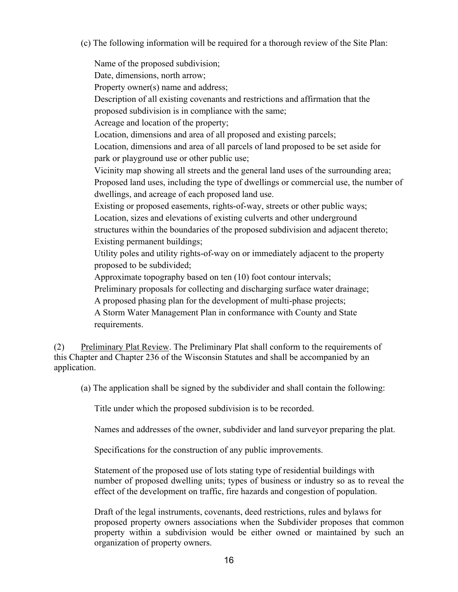(c) The following information will be required for a thorough review of the Site Plan:

Name of the proposed subdivision; Date, dimensions, north arrow; Property owner(s) name and address; Description of all existing covenants and restrictions and affirmation that the proposed subdivision is in compliance with the same; Acreage and location of the property; Location, dimensions and area of all proposed and existing parcels; Location, dimensions and area of all parcels of land proposed to be set aside for park or playground use or other public use; Vicinity map showing all streets and the general land uses of the surrounding area; Proposed land uses, including the type of dwellings or commercial use, the number of dwellings, and acreage of each proposed land use. Existing or proposed easements, rights-of-way, streets or other public ways; Location, sizes and elevations of existing culverts and other underground structures within the boundaries of the proposed subdivision and adjacent thereto; Existing permanent buildings; Utility poles and utility rights-of-way on or immediately adjacent to the property proposed to be subdivided; Approximate topography based on ten (10) foot contour intervals; Preliminary proposals for collecting and discharging surface water drainage; A proposed phasing plan for the development of multi-phase projects; A Storm Water Management Plan in conformance with County and State requirements.

(2) Preliminary Plat Review. The Preliminary Plat shall conform to the requirements of this Chapter and Chapter 236 of the Wisconsin Statutes and shall be accompanied by an application.

(a) The application shall be signed by the subdivider and shall contain the following:

Title under which the proposed subdivision is to be recorded.

Names and addresses of the owner, subdivider and land surveyor preparing the plat.

Specifications for the construction of any public improvements.

Statement of the proposed use of lots stating type of residential buildings with number of proposed dwelling units; types of business or industry so as to reveal the effect of the development on traffic, fire hazards and congestion of population.

Draft of the legal instruments, covenants, deed restrictions, rules and bylaws for proposed property owners associations when the Subdivider proposes that common property within a subdivision would be either owned or maintained by such an organization of property owners.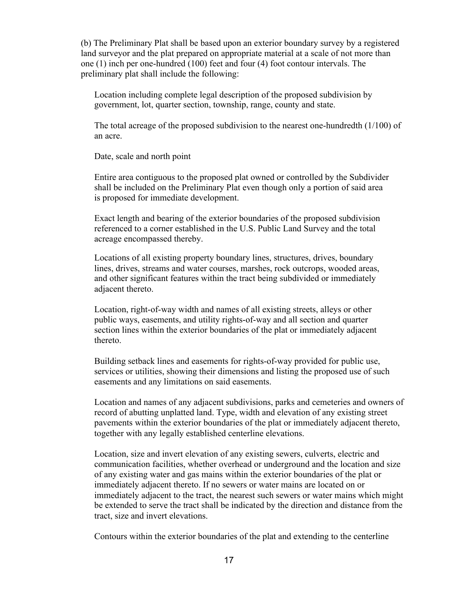(b) The Preliminary Plat shall be based upon an exterior boundary survey by a registered land surveyor and the plat prepared on appropriate material at a scale of not more than one (1) inch per one-hundred (100) feet and four (4) foot contour intervals. The preliminary plat shall include the following:

Location including complete legal description of the proposed subdivision by government, lot, quarter section, township, range, county and state.

The total acreage of the proposed subdivision to the nearest one-hundredth (1/100) of an acre.

Date, scale and north point

Entire area contiguous to the proposed plat owned or controlled by the Subdivider shall be included on the Preliminary Plat even though only a portion of said area is proposed for immediate development.

Exact length and bearing of the exterior boundaries of the proposed subdivision referenced to a corner established in the U.S. Public Land Survey and the total acreage encompassed thereby.

Locations of all existing property boundary lines, structures, drives, boundary lines, drives, streams and water courses, marshes, rock outcrops, wooded areas, and other significant features within the tract being subdivided or immediately adjacent thereto.

Location, right-of-way width and names of all existing streets, alleys or other public ways, easements, and utility rights-of-way and all section and quarter section lines within the exterior boundaries of the plat or immediately adjacent thereto.

Building setback lines and easements for rights-of-way provided for public use, services or utilities, showing their dimensions and listing the proposed use of such easements and any limitations on said easements.

Location and names of any adjacent subdivisions, parks and cemeteries and owners of record of abutting unplatted land. Type, width and elevation of any existing street pavements within the exterior boundaries of the plat or immediately adjacent thereto, together with any legally established centerline elevations.

Location, size and invert elevation of any existing sewers, culverts, electric and communication facilities, whether overhead or underground and the location and size of any existing water and gas mains within the exterior boundaries of the plat or immediately adjacent thereto. If no sewers or water mains are located on or immediately adjacent to the tract, the nearest such sewers or water mains which might be extended to serve the tract shall be indicated by the direction and distance from the tract, size and invert elevations.

Contours within the exterior boundaries of the plat and extending to the centerline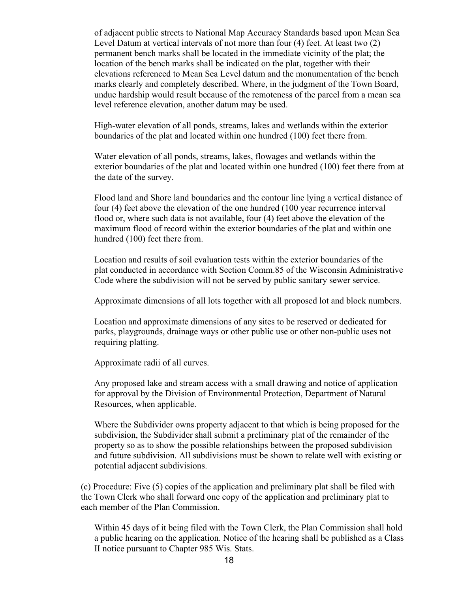of adjacent public streets to National Map Accuracy Standards based upon Mean Sea Level Datum at vertical intervals of not more than four (4) feet. At least two (2) permanent bench marks shall be located in the immediate vicinity of the plat; the location of the bench marks shall be indicated on the plat, together with their elevations referenced to Mean Sea Level datum and the monumentation of the bench marks clearly and completely described. Where, in the judgment of the Town Board, undue hardship would result because of the remoteness of the parcel from a mean sea level reference elevation, another datum may be used.

High-water elevation of all ponds, streams, lakes and wetlands within the exterior boundaries of the plat and located within one hundred (100) feet there from.

Water elevation of all ponds, streams, lakes, flowages and wetlands within the exterior boundaries of the plat and located within one hundred (100) feet there from at the date of the survey.

Flood land and Shore land boundaries and the contour line lying a vertical distance of four (4) feet above the elevation of the one hundred (100 year recurrence interval flood or, where such data is not available, four (4) feet above the elevation of the maximum flood of record within the exterior boundaries of the plat and within one hundred (100) feet there from.

Location and results of soil evaluation tests within the exterior boundaries of the plat conducted in accordance with Section Comm.85 of the Wisconsin Administrative Code where the subdivision will not be served by public sanitary sewer service.

Approximate dimensions of all lots together with all proposed lot and block numbers.

Location and approximate dimensions of any sites to be reserved or dedicated for parks, playgrounds, drainage ways or other public use or other non-public uses not requiring platting.

Approximate radii of all curves.

Any proposed lake and stream access with a small drawing and notice of application for approval by the Division of Environmental Protection, Department of Natural Resources, when applicable.

Where the Subdivider owns property adjacent to that which is being proposed for the subdivision, the Subdivider shall submit a preliminary plat of the remainder of the property so as to show the possible relationships between the proposed subdivision and future subdivision. All subdivisions must be shown to relate well with existing or potential adjacent subdivisions.

(c) Procedure: Five (5) copies of the application and preliminary plat shall be filed with the Town Clerk who shall forward one copy of the application and preliminary plat to each member of the Plan Commission.

Within 45 days of it being filed with the Town Clerk, the Plan Commission shall hold a public hearing on the application. Notice of the hearing shall be published as a Class II notice pursuant to Chapter 985 Wis. Stats.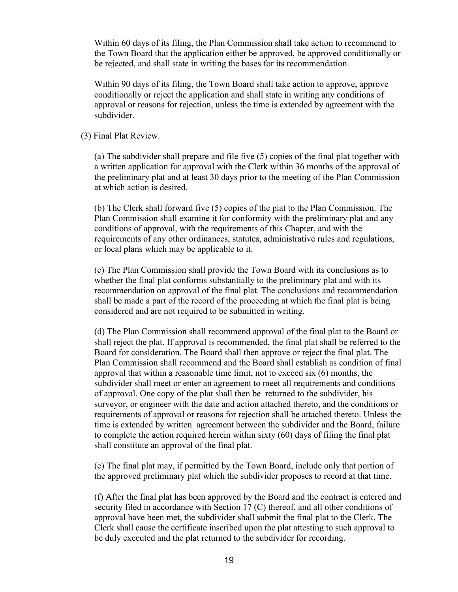Within 60 days of its filing, the Plan Commission shall take action to recommend to the Town Board that the application either be approved, be approved conditionally or be rejected, and shall state in writing the bases for its recommendation.

Within 90 days of its filing, the Town Board shall take action to approve, approve conditionally or reject the application and shall state in writing any conditions of approval or reasons for rejection, unless the time is extended by agreement with the subdivider.

#### (3) Final Plat Review.

(a) The subdivider shall prepare and file five (5) copies of the final plat together with a written application for approval with the Clerk within 36 months of the approval of the preliminary plat and at least 30 days prior to the meeting of the Plan Commission at which action is desired.

(b) The Clerk shall forward five (5) copies of the plat to the Plan Commission. The Plan Commission shall examine it for conformity with the preliminary plat and any conditions of approval, with the requirements of this Chapter, and with the requirements of any other ordinances, statutes, administrative rules and regulations, or local plans which may be applicable to it.

(c) The Plan Commission shall provide the Town Board with its conclusions as to whether the final plat conforms substantially to the preliminary plat and with its recommendation on approval of the final plat. The conclusions and recommendation shall be made a part of the record of the proceeding at which the final plat is being considered and are not required to be submitted in writing.

(d) The Plan Commission shall recommend approval of the final plat to the Board or shall reject the plat. If approval is recommended, the final plat shall be referred to the Board for consideration. The Board shall then approve or reject the final plat. The Plan Commission shall recommend and the Board shall establish as condition of final approval that within a reasonable time limit, not to exceed six (6) months, the subdivider shall meet or enter an agreement to meet all requirements and conditions of approval. One copy of the plat shall then be returned to the subdivider, his surveyor, or engineer with the date and action attached thereto, and the conditions or requirements of approval or reasons for rejection shall be attached thereto. Unless the time is extended by written agreement between the subdivider and the Board, failure to complete the action required herein within sixty (60) days of filing the final plat shall constitute an approval of the final plat.

(e) The final plat may, if permitted by the Town Board, include only that portion of the approved preliminary plat which the subdivider proposes to record at that time.

(f) After the final plat has been approved by the Board and the contract is entered and security filed in accordance with Section 17 (C) thereof, and all other conditions of approval have been met, the subdivider shall submit the final plat to the Clerk. The Clerk shall cause the certificate inscribed upon the plat attesting to such approval to be duly executed and the plat returned to the subdivider for recording.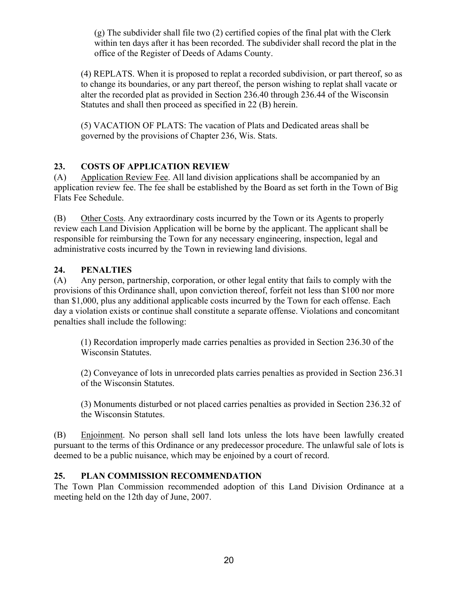(g) The subdivider shall file two (2) certified copies of the final plat with the Clerk within ten days after it has been recorded. The subdivider shall record the plat in the office of the Register of Deeds of Adams County.

(4) REPLATS. When it is proposed to replat a recorded subdivision, or part thereof, so as to change its boundaries, or any part thereof, the person wishing to replat shall vacate or alter the recorded plat as provided in Section 236.40 through 236.44 of the Wisconsin Statutes and shall then proceed as specified in 22 (B) herein.

(5) VACATION OF PLATS: The vacation of Plats and Dedicated areas shall be governed by the provisions of Chapter 236, Wis. Stats.

# **23. COSTS OF APPLICATION REVIEW**

(A) Application Review Fee. All land division applications shall be accompanied by an application review fee. The fee shall be established by the Board as set forth in the Town of Big Flats Fee Schedule.

(B) Other Costs. Any extraordinary costs incurred by the Town or its Agents to properly review each Land Division Application will be borne by the applicant. The applicant shall be responsible for reimbursing the Town for any necessary engineering, inspection, legal and administrative costs incurred by the Town in reviewing land divisions.

# **24. PENALTIES**

(A) Any person, partnership, corporation, or other legal entity that fails to comply with the provisions of this Ordinance shall, upon conviction thereof, forfeit not less than \$100 nor more than \$1,000, plus any additional applicable costs incurred by the Town for each offense. Each day a violation exists or continue shall constitute a separate offense. Violations and concomitant penalties shall include the following:

(1) Recordation improperly made carries penalties as provided in Section 236.30 of the Wisconsin Statutes.

(2) Conveyance of lots in unrecorded plats carries penalties as provided in Section 236.31 of the Wisconsin Statutes.

(3) Monuments disturbed or not placed carries penalties as provided in Section 236.32 of the Wisconsin Statutes.

(B) Enjoinment. No person shall sell land lots unless the lots have been lawfully created pursuant to the terms of this Ordinance or any predecessor procedure. The unlawful sale of lots is deemed to be a public nuisance, which may be enjoined by a court of record.

# **25. PLAN COMMISSION RECOMMENDATION**

The Town Plan Commission recommended adoption of this Land Division Ordinance at a meeting held on the 12th day of June, 2007.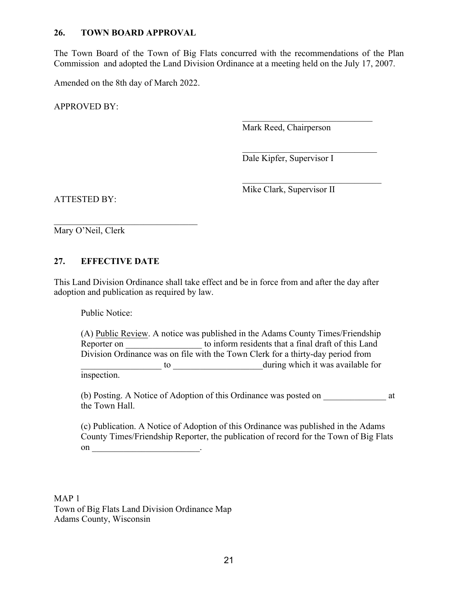#### **26. TOWN BOARD APPROVAL**

The Town Board of the Town of Big Flats concurred with the recommendations of the Plan Commission and adopted the Land Division Ordinance at a meeting held on the July 17, 2007.

Amended on the 8th day of March 2022.

APPROVED BY:

Mark Reed, Chairperson

 $\mathcal{L}_\text{max}$  , where  $\mathcal{L}_\text{max}$  , we have the set of  $\mathcal{L}_\text{max}$ 

 $\mathcal{L}_\text{max}$ 

 $\mathcal{L}_\text{max}$ Dale Kipfer, Supervisor I

ATTESTED BY:

Mike Clark, Supervisor II

\_\_\_\_\_\_\_\_\_\_\_\_\_\_\_\_\_\_\_\_\_\_\_\_\_\_\_\_\_\_\_\_ Mary O'Neil, Clerk

### **27. EFFECTIVE DATE**

This Land Division Ordinance shall take effect and be in force from and after the day after adoption and publication as required by law.

Public Notice:

(A) Public Review. A notice was published in the Adams County Times/Friendship Reporter on to inform residents that a final draft of this Land Division Ordinance was on file with the Town Clerk for a thirty-day period from \_\_\_\_\_\_\_\_\_\_\_\_\_\_\_\_\_\_ to \_\_\_\_\_\_\_\_\_\_\_\_\_\_\_\_\_\_\_\_during which it was available for inspection.

(b) Posting. A Notice of Adoption of this Ordinance was posted on \_\_\_\_\_\_\_\_\_\_\_\_\_\_ at the Town Hall.

(c) Publication. A Notice of Adoption of this Ordinance was published in the Adams County Times/Friendship Reporter, the publication of record for the Town of Big Flats on  $\_\_\_\_\_\_\$ .

MAP 1 Town of Big Flats Land Division Ordinance Map Adams County, Wisconsin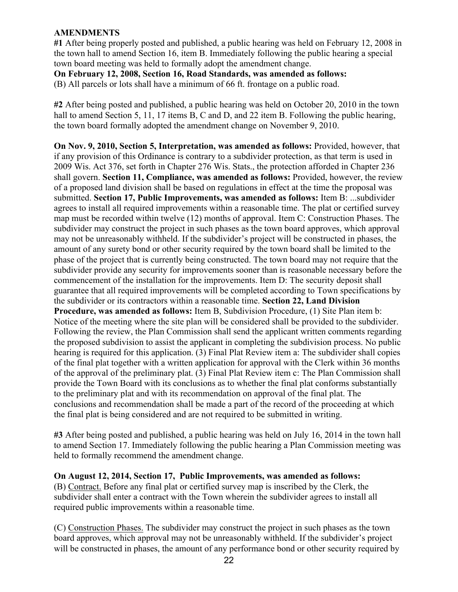#### **AMENDMENTS**

**#1** After being properly posted and published, a public hearing was held on February 12, 2008 in the town hall to amend Section 16, item B. Immediately following the public hearing a special town board meeting was held to formally adopt the amendment change.

**On February 12, 2008, Section 16, Road Standards, was amended as follows:**

(B) All parcels or lots shall have a minimum of 66 ft. frontage on a public road.

**#2** After being posted and published, a public hearing was held on October 20, 2010 in the town hall to amend Section 5, 11, 17 items B, C and D, and 22 item B. Following the public hearing, the town board formally adopted the amendment change on November 9, 2010.

**On Nov. 9, 2010, Section 5, Interpretation, was amended as follows:** Provided, however, that if any provision of this Ordinance is contrary to a subdivider protection, as that term is used in 2009 Wis. Act 376, set forth in Chapter 276 Wis. Stats., the protection afforded in Chapter 236 shall govern. **Section 11, Compliance, was amended as follows:** Provided, however, the review of a proposed land division shall be based on regulations in effect at the time the proposal was submitted. **Section 17, Public Improvements, was amended as follows:** Item B: ...subdivider agrees to install all required improvements within a reasonable time. The plat or certified survey map must be recorded within twelve (12) months of approval. Item C: Construction Phases. The subdivider may construct the project in such phases as the town board approves, which approval may not be unreasonably withheld. If the subdivider's project will be constructed in phases, the amount of any surety bond or other security required by the town board shall be limited to the phase of the project that is currently being constructed. The town board may not require that the subdivider provide any security for improvements sooner than is reasonable necessary before the commencement of the installation for the improvements. Item D: The security deposit shall guarantee that all required improvements will be completed according to Town specifications by the subdivider or its contractors within a reasonable time. **Section 22, Land Division Procedure, was amended as follows:** Item B, Subdivision Procedure, (1) Site Plan item b: Notice of the meeting where the site plan will be considered shall be provided to the subdivider. Following the review, the Plan Commission shall send the applicant written comments regarding the proposed subdivision to assist the applicant in completing the subdivision process. No public hearing is required for this application. (3) Final Plat Review item a: The subdivider shall copies of the final plat together with a written application for approval with the Clerk within 36 months of the approval of the preliminary plat. (3) Final Plat Review item c: The Plan Commission shall provide the Town Board with its conclusions as to whether the final plat conforms substantially to the preliminary plat and with its recommendation on approval of the final plat. The conclusions and recommendation shall be made a part of the record of the proceeding at which the final plat is being considered and are not required to be submitted in writing.

**#3** After being posted and published, a public hearing was held on July 16, 2014 in the town hall to amend Section 17. Immediately following the public hearing a Plan Commission meeting was held to formally recommend the amendment change.

**On August 12, 2014, Section 17, Public Improvements, was amended as follows:**

(B) Contract. Before any final plat or certified survey map is inscribed by the Clerk, the subdivider shall enter a contract with the Town wherein the subdivider agrees to install all required public improvements within a reasonable time.

(C) Construction Phases. The subdivider may construct the project in such phases as the town board approves, which approval may not be unreasonably withheld. If the subdivider's project will be constructed in phases, the amount of any performance bond or other security required by